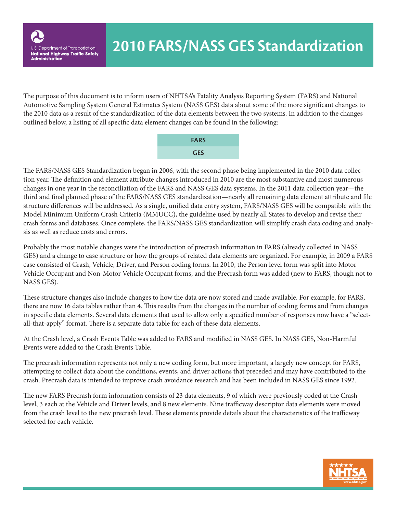The purpose of this document is to inform users of NHTSA's Fatality Analysis Reporting System (FARS) and National Automotive Sampling System General Estimates System (NASS GES) data about some of the more significant changes to the 2010 data as a result of the standardization of the data elements between the two systems. In addition to the changes outlined below, a listing of all specific data element changes can be found in the following:



The FARS/NASS GES Standardization began in 2006, with the second phase being implemented in the 2010 data collection year. The definition and element attribute changes introduced in 2010 are the most substantive and most numerous changes in one year in the reconciliation of the FARS and NASS GES data systems. In the 2011 data collection year—the third and final planned phase of the FARS/NASS GES standardization—nearly all remaining data element attribute and file structure differences will be addressed. As a single, unified data entry system, FARS/NASS GES will be compatible with the Model Minimum Uniform Crash Criteria (MMUCC), the guideline used by nearly all States to develop and revise their crash forms and databases. Once complete, the FARS/NASS GES standardization will simplify crash data coding and analysis as well as reduce costs and errors.

Probably the most notable changes were the introduction of precrash information in FARS (already collected in NASS GES) and a change to case structure or how the groups of related data elements are organized. For example, in 2009 a FARS case consisted of Crash, Vehicle, Driver, and Person coding forms. In 2010, the Person level form was split into Motor Vehicle Occupant and Non-Motor Vehicle Occupant forms, and the Precrash form was added (new to FARS, though not to NASS GES).

These structure changes also include changes to how the data are now stored and made available. For example, for FARS, there are now 16 data tables rather than 4. This results from the changes in the number of coding forms and from changes in specific data elements. Several data elements that used to allow only a specified number of responses now have a "selectall-that-apply" format. There is a separate data table for each of these data elements.

At the Crash level, a Crash Events Table was added to FARS and modified in NASS GES. In NASS GES, Non-Harmful Events were added to the Crash Events Table.

The precrash information represents not only a new coding form, but more important, a largely new concept for FARS, attempting to collect data about the conditions, events, and driver actions that preceded and may have contributed to the crash. Precrash data is intended to improve crash avoidance research and has been included in NASS GES since 1992.

The new FARS Precrash form information consists of 23 data elements, 9 of which were previously coded at the Crash level, 3 each at the Vehicle and Driver levels, and 8 new elements. Nine trafficway descriptor data elements were moved from the crash level to the new precrash level. These elements provide details about the characteristics of the trafficway selected for each vehicle.